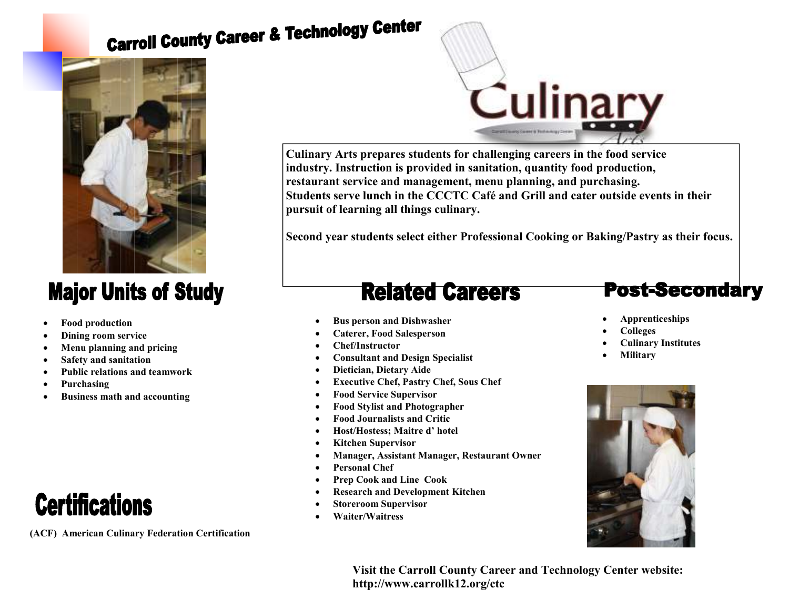# **Carroll County Career & Technology Center**



### **Major Units of Study**

- **Food production**
- **Dining room service**
- **Menu planning and pricing**
- **Safety and sanitation**
- **Public relations and teamwork**
- **Purchasing**
- **Business math and accounting**

## **Certifications**

**(ACF) American Culinary Federation Certification** 



**Culinary Arts prepares students for challenging careers in the food service industry. Instruction is provided in sanitation, quantity food production, restaurant service and management, menu planning, and purchasing. Students serve lunch in the CCCTC Café and Grill and cater outside events in their pursuit of learning all things culinary.** 

**Second year students select either Professional Cooking or Baking/Pastry as their focus.**

### **Related Careers**

- **Bus person and Dishwasher**
- **Caterer, Food Salesperson**
- **Chef/Instructor**
- **Consultant and Design Specialist**
- **Dietician, Dietary Aide**
- **Executive Chef, Pastry Chef, Sous Chef**
- **Food Service Supervisor**
- **Food Stylist and Photographer**
- **Food Journalists and Critic**
- **Host/Hostess; Maitre d' hotel**
- **Kitchen Supervisor**
- **Manager, Assistant Manager, Restaurant Owner**
- **Personal Chef**
- **Prep Cook and Line Cook**
- **Research and Development Kitchen**
- **Storeroom Supervisor**
- **Waiter/Waitress**

#### **Post-Secondary**

- **Apprenticeships**
- **Colleges**
- **Culinary Institutes**
- **Military**



**Visit the Carroll County Career and Technology Center website: http://www.carrollk12.org/ctc**